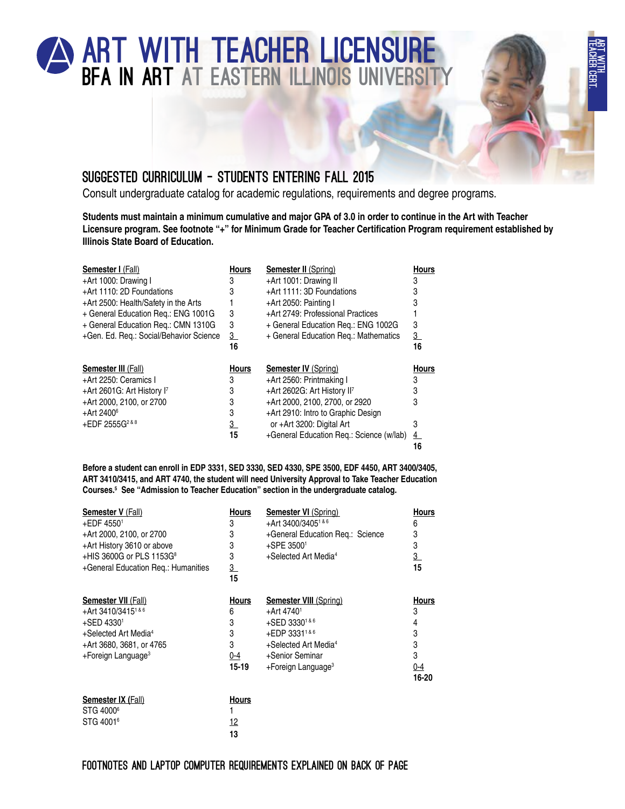

## Consult undergraduate catalog for academic regulations, requirements and degree programs.

**Students must maintain a minimum cumulative and major GPA of 3.0 in order to continue in the Art with Teacher Licensure program. See footnote "+" for Minimum Grade for Teacher Certification Program requirement established by Illinois State Board of Education.**

| <b>Semester I (Fall)</b>                | <b>Hours</b>   | <b>Semester II (Spring)</b>              | <b>Hours</b>  |
|-----------------------------------------|----------------|------------------------------------------|---------------|
| +Art 1000: Drawing I                    | 3              | +Art 1001: Drawing II                    | 3             |
| +Art 1110: 2D Foundations               | 3              | +Art 1111: 3D Foundations                | 3             |
| +Art 2500: Health/Safety in the Arts    |                | +Art 2050: Painting I                    | 3             |
| + General Education Req.: ENG 1001G     | 3              | +Art 2749: Professional Practices        |               |
| + General Education Req.: CMN 1310G     | 3              | + General Education Req.: ENG 1002G      | 3             |
| +Gen. Ed. Reg.: Social/Behavior Science | $\overline{3}$ | + General Education Reg.: Mathematics    | 3             |
|                                         | 16             |                                          | 16            |
|                                         |                |                                          |               |
| Semester III (Fall)                     | <b>Hours</b>   | <b>Semester IV (Spring)</b>              | <b>Hours</b>  |
| +Art 2250: Ceramics I                   | 3              | +Art 2560: Printmaking I                 | 3             |
| +Art 2601G: Art History I7              | 3              | +Art 2602G: Art History II <sup>7</sup>  | 3             |
| +Art 2000, 2100, or 2700                | 3              | +Art 2000, 2100, 2700, or 2920           | 3             |
| $+$ Art 2400 $^6$                       | 3              | +Art 2910: Intro to Graphic Design       |               |
| +EDF 2555G <sup>2&amp;8</sup>           | $\overline{3}$ | or +Art 3200: Digital Art                | 3             |
|                                         | 15             | +General Education Reg.: Science (w/lab) | $\frac{4}{ }$ |

**Before a student can enroll in EDP 3331, SED 3330, SED 4330, SPE 3500, EDF 4450, ART 3400/3405, ART 3410/3415, and ART 4740, the student will need University Approval to Take Teacher Education Courses.5 See "Admission to Teacher Education" section in the undergraduate catalog.**

| 3<br>3<br>3<br>3<br>$\overline{3}$<br>15             | <b>Semester VI (Spring)</b><br>+Art 3400/3405 <sup>1&amp;6</sup><br>+General Education Req.: Science<br>+SPE 35001<br>+Selected Art Media <sup>4</sup>                                              | Hours<br>6<br>3<br>3<br>$\overline{3}$<br>15  |
|------------------------------------------------------|-----------------------------------------------------------------------------------------------------------------------------------------------------------------------------------------------------|-----------------------------------------------|
| <b>Hours</b><br>6<br>3<br>3<br>3<br>0-4<br>$15 - 19$ | <b>Semester VIII</b> (Spring)<br>+Art 4740 <sup>1</sup><br>+SED 33301&6<br>+EDP 3331 <sup>1&amp;6</sup><br>+Selected Art Media <sup>4</sup><br>+Senior Seminar<br>$+$ Foreign Language <sup>3</sup> | Hours<br>3<br>3<br>3<br>3<br>$0 - 4$<br>16-20 |
|                                                      | <b>Hours</b>                                                                                                                                                                                        |                                               |

| <b>Semester IX (Fall)</b> | <b>Hours</b> |
|---------------------------|--------------|
| STG 4000 <sup>6</sup>     |              |
| STG 4001 <sup>6</sup>     | 12           |
|                           | 13           |